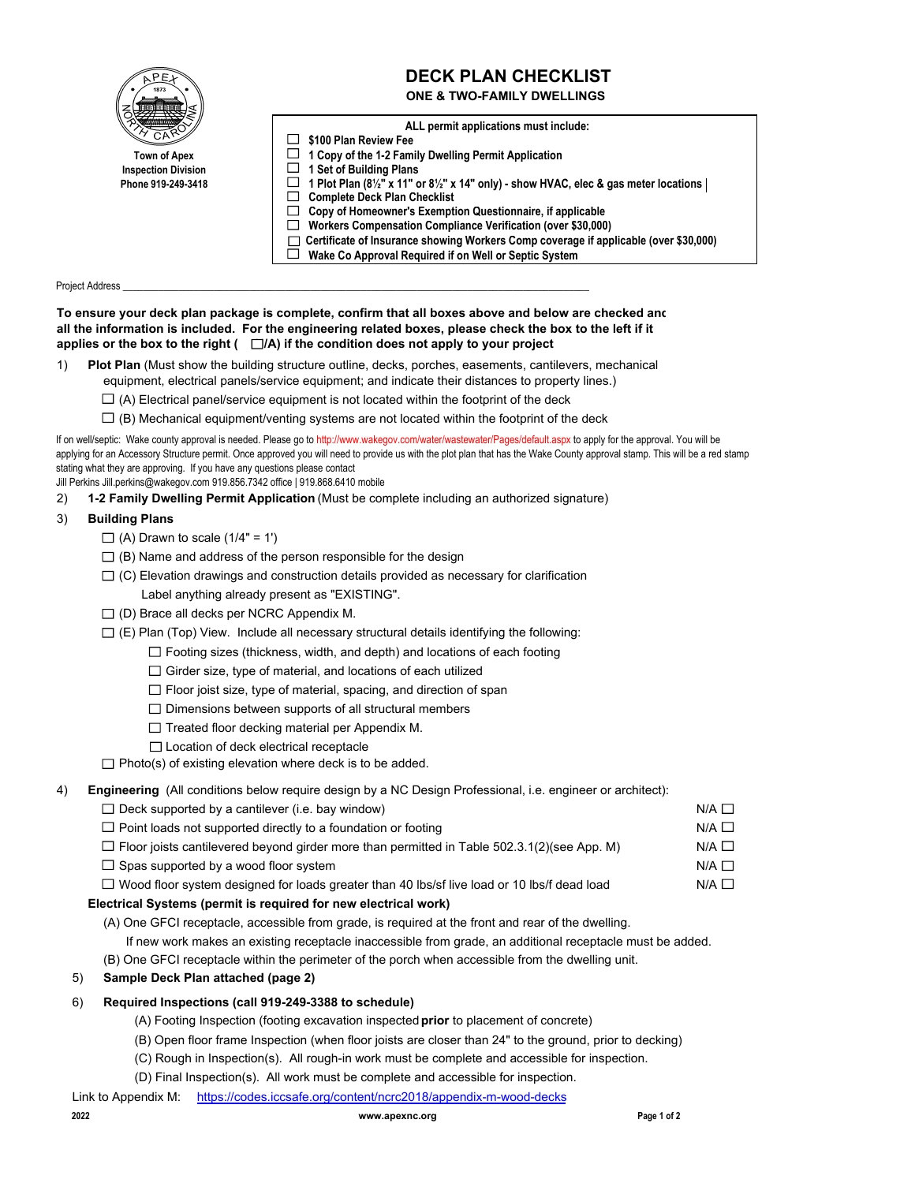| 1873                       | <b>DECK PLAN CHECKLIST</b><br><b>ONE &amp; TWO-FAMILY DWELLINGS</b>                                          |
|----------------------------|--------------------------------------------------------------------------------------------------------------|
|                            | ALL permit applications must include:                                                                        |
|                            | \$100 Plan Review Fee                                                                                        |
| <b>Town of Apex</b>        | 1 Copy of the 1-2 Family Dwelling Permit Application                                                         |
| <b>Inspection Division</b> | 1 Set of Building Plans                                                                                      |
| Phone 919-249-3418         | 1 Plot Plan $(8\frac{1}{2})^n$ x 11" or $8\frac{1}{2}$ " x 14" only) - show HVAC, elec & gas meter locations |
|                            | <b>Complete Deck Plan Checklist</b>                                                                          |
|                            | Copy of Homeowner's Exemption Questionnaire, if applicable                                                   |
|                            | Workers Compensation Compliance Verification (over \$30,000)                                                 |
|                            | Certificate of Insurance showing Workers Comp coverage if applicable (over \$30,000)                         |
|                            | Wake Co Approval Required if on Well or Septic System                                                        |

Project Address

**To ensure your deck plan package is complete, confirm that all boxes above and below are checked and all the information is included. For the engineering related boxes, please check the box to the left if it** applies or the box to the right  $( \Box/A)$  if the condition does not apply to your project

- 1) **Plot Plan** (Must show the building structure outline, decks, porches, easements, cantilevers, mechanical equipment, electrical panels/service equipment; and indicate their distances to property lines.)
	- $\Box$  (A) Electrical panel/service equipment is not located within the footprint of the deck
	- $\square$  (B) Mechanical equipment/venting systems are not located within the footprint of the deck

If on well/septic: Wake county approval is needed. Please go to http://www.wakegov.com/water/wastewater/Pages/default.aspx to apply for the approval. You will be applying for an Accessory Structure permit. Once approved you will need to provide us with the plot plan that has the Wake County approval stamp. This will be a red stamp stating what they are approving. If you have any questions please contact

Jill Perkins Jill.perkins@wakegov.com 919.856.7342 office | 919.868.6410 mobile

2) **1-2 Family Dwelling Permit Application** (Must be complete including an authorized signature)

#### 3) **Building Plans**

- $\Box$  (A) Drawn to scale (1/4" = 1')
- $\Box$  (B) Name and address of the person responsible for the design
- $\Box$  (C) Elevation drawings and construction details provided as necessary for clarification Label anything already present as "EXISTING".
- $\Box$  (D) Brace all decks per NCRC Appendix M.
- $\Box$  (E) Plan (Top) View. Include all necessary structural details identifying the following:
	- $\Box$  Footing sizes (thickness, width, and depth) and locations of each footing
	- $\Box$  Girder size, type of material, and locations of each utilized
	- $\Box$  Floor joist size, type of material, spacing, and direction of span
	- $\Box$  Dimensions between supports of all structural members
	- $\Box$  Treated floor decking material per Appendix M.
	- □ Location of deck electrical receptacle

 $\Box$  Photo(s) of existing elevation where deck is to be added.

4) **Engineering** (All conditions below require design by a NC Design Professional, i.e. engineer or architect):

| $\Box$ Deck supported by a cantilever (i.e. bay window)                                            |                 |
|----------------------------------------------------------------------------------------------------|-----------------|
| $\Box$ Point loads not supported directly to a foundation or footing                               | $N/A$ $\Box$    |
| $\Box$ Floor joists cantilevered beyond girder more than permitted in Table 502.3.1(2)(see App. M) | $N/A$ $\square$ |
| $\Box$ Spas supported by a wood floor system                                                       |                 |
| $\Box$ Wood floor system designed for loads greater than 40 lbs/sf live load or 10 lbs/f dead load |                 |
|                                                                                                    |                 |

## **Electrical Systems (permit is required for new electrical work)**

(A) One GFCI receptacle, accessible from grade, is required at the front and rear of the dwelling.

If new work makes an existing receptacle inaccessible from grade, an additional receptacle must be added.

(B) One GFCI receptacle within the perimeter of the porch when accessible from the dwelling unit.

# 5) **Sample Deck Plan attached (page 2)**

## 6) **Required Inspections (call 919-249-3388 to schedule)**

- (A) Footing Inspection (footing excavation inspected **prior** to placement of concrete)
- (B) Open floor frame Inspection (when floor joists are closer than 24" to the ground, prior to decking)
- (C) Rough in Inspection(s). All rough-in work must be complete and accessible for inspection.
- (D) Final Inspection(s). All work must be complete and accessible for inspection.
- Link to Appendix M: https://codes.iccsafe.org/content/ncrc2018/appendix-m-wood-decks